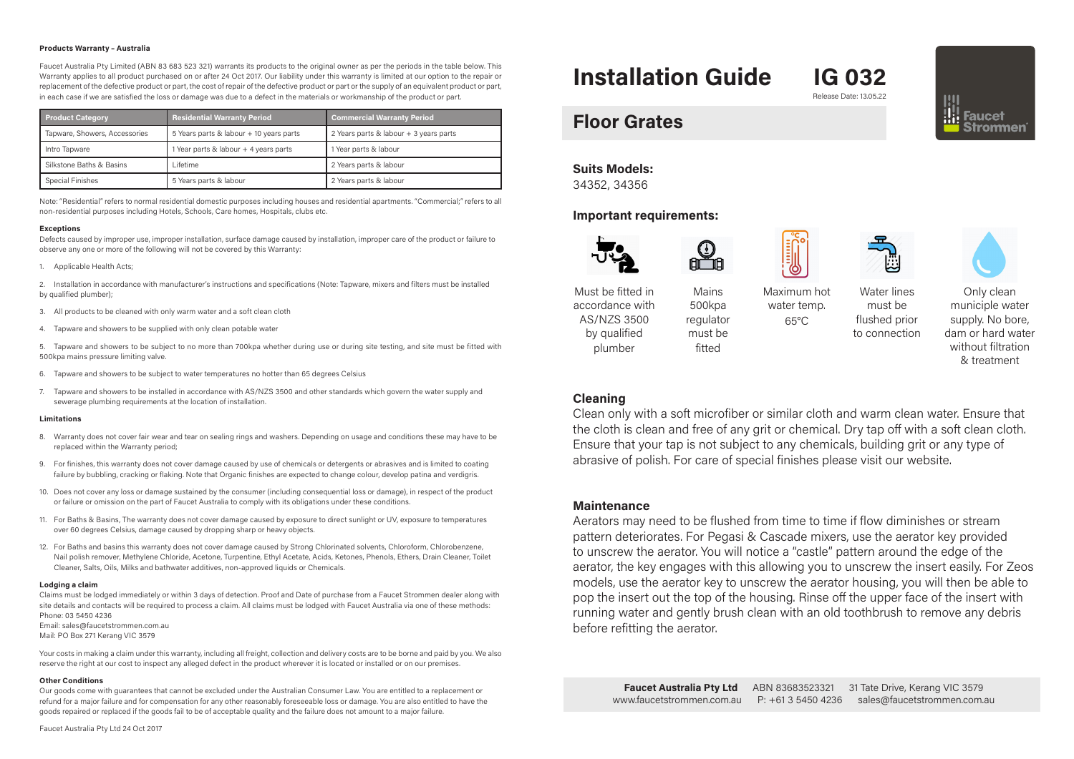### **Products Warranty – Australia**

Faucet Australia Pty Limited (ABN 83 683 523 321) warrants its products to the original owner as per the periods in the table below. This Warranty applies to all product purchased on or after 24 Oct 2017. Our liability under this warranty is limited at our option to the repair or replacement of the defective product or part, the cost of repair of the defective product or part or the supply of an equivalent product or part, in each case if we are satisfied the loss or damage was due to a defect in the materials or workmanship of the product or part.

| <b>Product Category</b>       | <b>Residential Warranty Period</b>      | <b>Commercial Warranty Period</b>      |
|-------------------------------|-----------------------------------------|----------------------------------------|
| Tapware, Showers, Accessories | 5 Years parts & labour + 10 years parts | 2 Years parts & labour + 3 years parts |
| Intro Tapware                 | Year parts & labour + 4 years parts     | 1 Year parts & labour                  |
| Silkstone Baths & Basins      | Lifetime                                | 2 Years parts & labour                 |
| Special Finishes              | 5 Years parts & labour                  | 2 Years parts & labour                 |

Note: "Residential" refers to normal residential domestic purposes including houses and residential apartments. "Commercial;" refers to all non-residential purposes including Hotels, Schools, Care homes, Hospitals, clubs etc.

### **Exceptions**

Defects caused by improper use, improper installation, surface damage caused by installation, improper care of the product or failure to observe any one or more of the following will not be covered by this Warranty:

1. Applicable Health Acts;

2. Installation in accordance with manufacturer's instructions and specifications (Note: Tapware, mixers and filters must be installed by qualified plumber);

- 3. All products to be cleaned with only warm water and a soft clean cloth
- 4. Tapware and showers to be supplied with only clean potable water

5. Tapware and showers to be subject to no more than 700kpa whether during use or during site testing, and site must be fitted with 500kpa mains pressure limiting valve.

- 6. Tapware and showers to be subject to water temperatures no hotter than 65 degrees Celsius
- 7. Tapware and showers to be installed in accordance with AS/NZS 3500 and other standards which govern the water supply and sewerage plumbing requirements at the location of installation.

### **Limitations**

- 8. Warranty does not cover fair wear and tear on sealing rings and washers. Depending on usage and conditions these may have to be replaced within the Warranty period;
- 9. For finishes, this warranty does not cover damage caused by use of chemicals or detergents or abrasives and is limited to coating failure by bubbling, cracking or flaking. Note that Organic finishes are expected to change colour, develop patina and verdigris.
- 10. Does not cover any loss or damage sustained by the consumer (including consequential loss or damage), in respect of the product or failure or omission on the part of Faucet Australia to comply with its obligations under these conditions.
- 11. For Baths & Basins, The warranty does not cover damage caused by exposure to direct sunlight or UV, exposure to temperatures over 60 degrees Celsius, damage caused by dropping sharp or heavy objects.
- 12. For Baths and basins this warranty does not cover damage caused by Strong Chlorinated solvents, Chloroform, Chlorobenzene, Nail polish remover, Methylene Chloride, Acetone, Turpentine, Ethyl Acetate, Acids, Ketones, Phenols, Ethers, Drain Cleaner, Toilet Cleaner, Salts, Oils, Milks and bathwater additives, non-approved liquids or Chemicals.

### **Lodging a claim**

Claims must be lodged immediately or within 3 days of detection. Proof and Date of purchase from a Faucet Strommen dealer along with site details and contacts will be required to process a claim. All claims must be lodged with Faucet Australia via one of these methods: Phone: 03 5450 4236

Email: sales@faucetstrommen.com.au Mail: PO Box 271 Kerang VIC 3579

Your costs in making a claim under this warranty, including all freight, collection and delivery costs are to be borne and paid by you. We also reserve the right at our cost to inspect any alleged defect in the product wherever it is located or installed or on our premises.

### **Other Conditions**

Our goods come with guarantees that cannot be excluded under the Australian Consumer Law. You are entitled to a replacement or refund for a major failure and for compensation for any other reasonably foreseeable loss or damage. You are also entitled to have the goods repaired or replaced if the goods fail to be of acceptable quality and the failure does not amount to a major failure.

# **Installation Guide IG 032**

Release Date: 13.05.22

# **Floor Grates**

## **Suits Models:**

34352, 34356

### **Important requirements:**





Mains 500kpa regulator must be fitted





Must be fitted in accordance with AS/NZS 3500 by qualified plumber

Maximum hot water temp.  $65^{\circ}$ C

Water lines must be flushed prior to connection



municiple water supply. No bore, dam or hard water without filtration & treatment

# **Cleaning**

Clean only with a soft microfiber or similar cloth and warm clean water. Ensure that the cloth is clean and free of any grit or chemical. Dry tap off with a soft clean cloth. Ensure that your tap is not subject to any chemicals, building grit or any type of abrasive of polish. For care of special finishes please visit our website.

# **Maintenance**

Aerators may need to be flushed from time to time if flow diminishes or stream pattern deteriorates. For Pegasi & Cascade mixers, use the aerator key provided to unscrew the aerator. You will notice a "castle" pattern around the edge of the aerator, the key engages with this allowing you to unscrew the insert easily. For Zeos models, use the aerator key to unscrew the aerator housing, you will then be able to pop the insert out the top of the housing. Rinse off the upper face of the insert with running water and gently brush clean with an old toothbrush to remove any debris before refitting the aerator.

**Faucet Australia Pty Ltd** ABN 8368352332131 Tate Drive, Kerang VIC 3579 www.faucetstrommen.com.au P: +61 3 5450 4236 sales@faucetstrommen.com.au